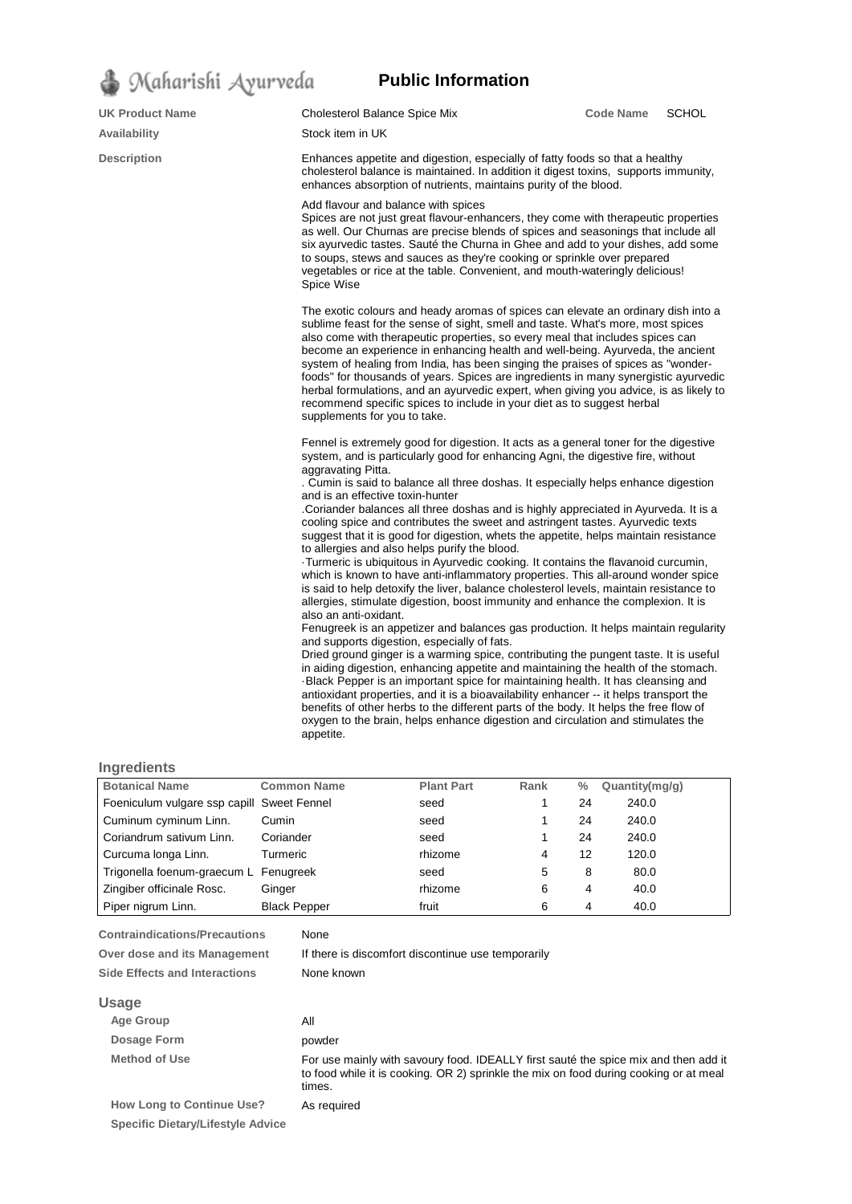

| <b>UK Product Name</b> | Cholesterol Balance Spice Mix                                                                                                                                                                                                                                                                                                                                                                                                                                                                                                                                                                                                                                                                                                                                                                                                                                                                                                                                                                                                                                                                                                                                                                                                                                                                                                                                                                                                                                                                                                                                                                                         | <b>Code Name</b> | <b>SCHOL</b> |  |  |
|------------------------|-----------------------------------------------------------------------------------------------------------------------------------------------------------------------------------------------------------------------------------------------------------------------------------------------------------------------------------------------------------------------------------------------------------------------------------------------------------------------------------------------------------------------------------------------------------------------------------------------------------------------------------------------------------------------------------------------------------------------------------------------------------------------------------------------------------------------------------------------------------------------------------------------------------------------------------------------------------------------------------------------------------------------------------------------------------------------------------------------------------------------------------------------------------------------------------------------------------------------------------------------------------------------------------------------------------------------------------------------------------------------------------------------------------------------------------------------------------------------------------------------------------------------------------------------------------------------------------------------------------------------|------------------|--------------|--|--|
| <b>Availability</b>    | Stock item in UK                                                                                                                                                                                                                                                                                                                                                                                                                                                                                                                                                                                                                                                                                                                                                                                                                                                                                                                                                                                                                                                                                                                                                                                                                                                                                                                                                                                                                                                                                                                                                                                                      |                  |              |  |  |
| <b>Description</b>     | Enhances appetite and digestion, especially of fatty foods so that a healthy<br>cholesterol balance is maintained. In addition it digest toxins, supports immunity,<br>enhances absorption of nutrients, maintains purity of the blood.                                                                                                                                                                                                                                                                                                                                                                                                                                                                                                                                                                                                                                                                                                                                                                                                                                                                                                                                                                                                                                                                                                                                                                                                                                                                                                                                                                               |                  |              |  |  |
|                        | Add flavour and balance with spices<br>Spices are not just great flavour-enhancers, they come with therapeutic properties<br>as well. Our Churnas are precise blends of spices and seasonings that include all<br>six ayurvedic tastes. Sauté the Churna in Ghee and add to your dishes, add some<br>to soups, stews and sauces as they're cooking or sprinkle over prepared<br>vegetables or rice at the table. Convenient, and mouth-wateringly delicious!<br>Spice Wise                                                                                                                                                                                                                                                                                                                                                                                                                                                                                                                                                                                                                                                                                                                                                                                                                                                                                                                                                                                                                                                                                                                                            |                  |              |  |  |
|                        | The exotic colours and heady aromas of spices can elevate an ordinary dish into a<br>sublime feast for the sense of sight, smell and taste. What's more, most spices<br>also come with therapeutic properties, so every meal that includes spices can<br>become an experience in enhancing health and well-being. Ayurveda, the ancient<br>system of healing from India, has been singing the praises of spices as "wonder-<br>foods" for thousands of years. Spices are ingredients in many synergistic ayurvedic<br>herbal formulations, and an ayurvedic expert, when giving you advice, is as likely to<br>recommend specific spices to include in your diet as to suggest herbal<br>supplements for you to take.                                                                                                                                                                                                                                                                                                                                                                                                                                                                                                                                                                                                                                                                                                                                                                                                                                                                                                 |                  |              |  |  |
|                        | Fennel is extremely good for digestion. It acts as a general toner for the digestive<br>system, and is particularly good for enhancing Agni, the digestive fire, without<br>aggravating Pitta.<br>. Cumin is said to balance all three doshas. It especially helps enhance digestion<br>and is an effective toxin-hunter<br>Coriander balances all three doshas and is highly appreciated in Ayurveda. It is a<br>cooling spice and contributes the sweet and astringent tastes. Ayurvedic texts<br>suggest that it is good for digestion, whets the appetite, helps maintain resistance<br>to allergies and also helps purify the blood.<br>-Turmeric is ubiquitous in Ayurvedic cooking. It contains the flavanoid curcumin,<br>which is known to have anti-inflammatory properties. This all-around wonder spice<br>is said to help detoxify the liver, balance cholesterol levels, maintain resistance to<br>allergies, stimulate digestion, boost immunity and enhance the complexion. It is<br>also an anti-oxidant.<br>Fenugreek is an appetizer and balances gas production. It helps maintain regularity<br>and supports digestion, especially of fats.<br>Dried ground ginger is a warming spice, contributing the pungent taste. It is useful<br>in aiding digestion, enhancing appetite and maintaining the health of the stomach.<br>-Black Pepper is an important spice for maintaining health. It has cleansing and<br>antioxidant properties, and it is a bioavailability enhancer -- it helps transport the<br>benefits of other herbs to the different parts of the body. It helps the free flow of |                  |              |  |  |

**Public Information**

## **Ingredients**

| <b>Botanical Name</b>                        | <b>Common Name</b>  | <b>Plant Part</b>                                  | Rank | $\frac{0}{0}$ | Quantity(mg/g) |  |
|----------------------------------------------|---------------------|----------------------------------------------------|------|---------------|----------------|--|
| Foeniculum vulgare ssp capill                | <b>Sweet Fennel</b> | seed                                               | 1    | 24            | 240.0          |  |
| Cuminum cyminum Linn.                        | Cumin               | seed                                               |      | 24            | 240.0          |  |
| Coriandrum sativum Linn.                     | Coriander           | seed                                               |      | 24            | 240.0          |  |
| Curcuma longa Linn.                          | Turmeric            | rhizome                                            | 4    | 12            | 120.0          |  |
| Trigonella foenum-graecum L                  | Fenugreek           | seed                                               | 5    | 8             | 80.0           |  |
| Zingiber officinale Rosc.                    | Ginger              | rhizome                                            | 6    | 4             | 40.0           |  |
| Piper nigrum Linn.                           | <b>Black Pepper</b> | fruit                                              | 6    | 4             | 40.0           |  |
| <b>Contraindications/Precautions</b><br>None |                     |                                                    |      |               |                |  |
| Over dose and its Management                 |                     | If there is discomfort discontinue use temporarily |      |               |                |  |
| <b>Side Effects and Interactions</b>         | None known          |                                                    |      |               |                |  |

appetite.

oxygen to the brain, helps enhance digestion and circulation and stimulates the

## **Usage**

| <b>Age Group</b>                                                             | All                                                                                                                                                                                    |
|------------------------------------------------------------------------------|----------------------------------------------------------------------------------------------------------------------------------------------------------------------------------------|
| Dosage Form                                                                  | powder                                                                                                                                                                                 |
| <b>Method of Use</b>                                                         | For use mainly with savoury food. IDEALLY first saute the spice mix and then add it<br>to food while it is cooking. OR 2) sprinkle the mix on food during cooking or at meal<br>times. |
| <b>How Long to Continue Use?</b><br><b>Specific Dietary/Lifestyle Advice</b> | As required                                                                                                                                                                            |